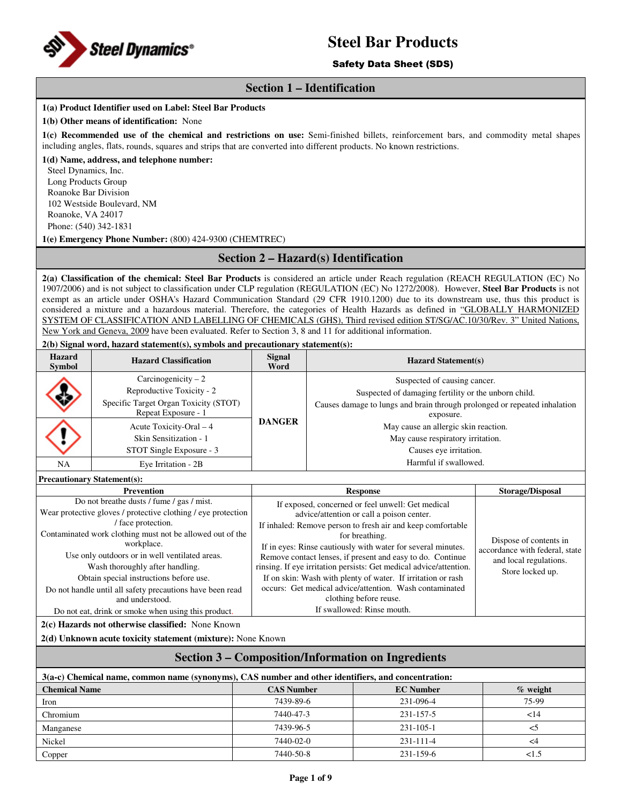

## Safety Data Sheet (SDS)

## **Section 1 – Identification**

#### **1(a) Product Identifier used on Label: Steel Bar Products**

#### **1(b) Other means of identification:** None

**1(c) Recommended use of the chemical and restrictions on use:** Semi-finished billets, reinforcement bars, and commodity metal shapes including angles, flats, rounds, squares and strips that are converted into different products. No known restrictions.

#### **1(d) Name, address, and telephone number:**

Steel Dynamics, Inc. Long Products Group Roanoke Bar Division 102 Westside Boulevard, NM Roanoke, VA 24017 Phone: (540) 342-1831

**1(e) Emergency Phone Number:** (800) 424-9300 (CHEMTREC)

# **Section 2 – Hazard(s) Identification**

**2(a) Classification of the chemical: Steel Bar Products** is considered an article under Reach regulation (REACH REGULATION (EC) No 1907/2006) and is not subject to classification under CLP regulation (REGULATION (EC) No 1272/2008). However, **Steel Bar Products** is not exempt as an article under OSHA's Hazard Communication Standard (29 CFR 1910.1200) due to its downstream use, thus this product is considered a mixture and a hazardous material. Therefore, the categories of Health Hazards as defined in "GLOBALLY HARMONIZED SYSTEM OF CLASSIFICATION AND LABELLING OF CHEMICALS (GHS), Third revised edition ST/SG/AC.10/30/Rev. 3" United Nations, New York and Geneva, 2009 have been evaluated. Refer to Section 3, 8 and 11 for additional information.

**2(b) Signal word, hazard statement(s), symbols and precautionary statement(s):** 

| <b>Hazard</b><br>Symbol | <b>Hazard Classification</b>                                                                                      | <b>Signal</b><br>Word | <b>Hazard Statement(s)</b>                                                                                                                                                     |  |
|-------------------------|-------------------------------------------------------------------------------------------------------------------|-----------------------|--------------------------------------------------------------------------------------------------------------------------------------------------------------------------------|--|
|                         | Carcinogenicity $-2$<br>Reproductive Toxicity - 2<br>Specific Target Organ Toxicity (STOT)<br>Repeat Exposure - 1 |                       | Suspected of causing cancer.<br>Suspected of damaging fertility or the unborn child.<br>Causes damage to lungs and brain through prolonged or repeated inhalation<br>exposure. |  |
|                         | Acute Toxicity-Oral $-4$<br>Skin Sensitization - 1<br>STOT Single Exposure - 3                                    | <b>DANGER</b>         | May cause an allergic skin reaction.<br>May cause respiratory irritation.<br>Causes eye irritation.                                                                            |  |
| NA                      | Eye Irritation - 2B                                                                                               |                       | Harmful if swallowed.                                                                                                                                                          |  |

**Precautionary Statement(s):**

| <b>Prevention</b>                                             | <b>Response</b>                                                    | <b>Storage/Disposal</b>        |
|---------------------------------------------------------------|--------------------------------------------------------------------|--------------------------------|
| Do not breather dusts / fume / gas / mist.                    | If exposed, concerned or feel unwell: Get medical                  |                                |
| Wear protective gloves / protective clothing / eye protection | advice/attention or call a poison center.                          |                                |
| face protection.                                              | If inhaled: Remove person to fresh air and keep comfortable        |                                |
| Contaminated work clothing must not be allowed out of the     | for breathing.                                                     | Dispose of contents in         |
| workplace.                                                    | If in eyes: Rinse cautiously with water for several minutes.       | accordance with federal, state |
| Use only outdoors or in well ventilated areas.                | Remove contact lenses, if present and easy to do. Continue         | and local regulations.         |
| Wash thoroughly after handling.                               | rinsing. If eye irritation persists: Get medical advice/attention. | Store locked up.               |
| Obtain special instructions before use.                       | If on skin: Wash with plenty of water. If irritation or rash       |                                |
| Do not handle until all safety precautions have been read     | occurs: Get medical advice/attention. Wash contaminated            |                                |
| and understood.                                               | clothing before reuse.                                             |                                |
| Do not eat, drink or smoke when using this product.           | If swallowed: Rinse mouth.                                         |                                |

**2(c) Hazards not otherwise classified:** None Known

**2(d) Unknown acute toxicity statement (mixture):** None Known

# **Section 3 – Composition/Information on Ingredients**

| 3(a-c) Chemical name, common name (synonyms), CAS number and other identifiers, and concentration: |                   |                  |             |  |  |
|----------------------------------------------------------------------------------------------------|-------------------|------------------|-------------|--|--|
| <b>Chemical Name</b>                                                                               | <b>CAS Number</b> | <b>EC</b> Number | $\%$ weight |  |  |
| Iron                                                                                               | 7439-89-6         | 231-096-4        | 75-99       |  |  |
| Chromium                                                                                           | 7440-47-3         | 231-157-5        | 14          |  |  |
| Manganese                                                                                          | 7439-96-5         | $231 - 105 - 1$  |             |  |  |
| Nickel                                                                                             | 7440-02-0         | $231 - 111 - 4$  | <4          |  |  |
| Copper                                                                                             | 7440-50-8         | 231-159-6        | <1.5        |  |  |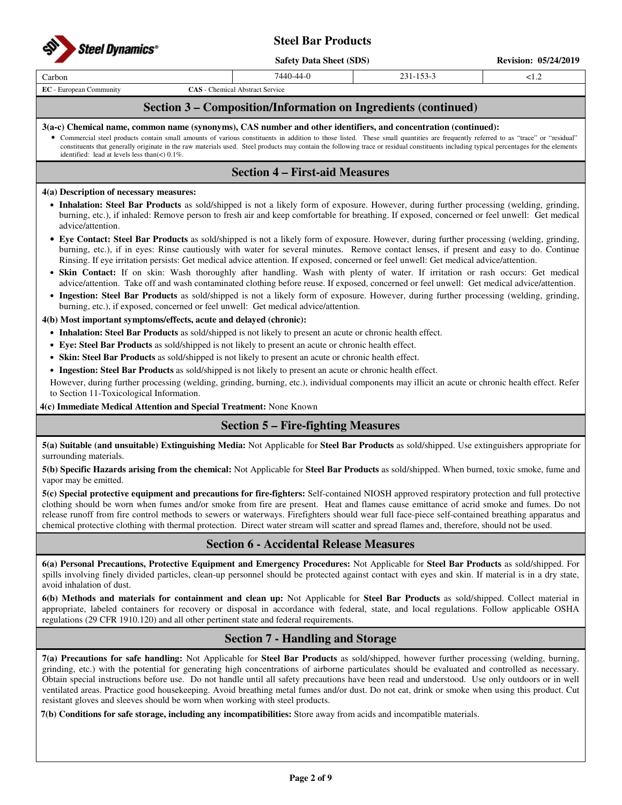

**Safety Data Sheet (SDS)** Revision: 05/24/2019

| arbon. |  | ∼⊷ |
|--------|--|----|
|        |  |    |
|        |  |    |

**EC** - European Community **CAS** - Chemical Abstract Service

# **Section 3 – Composition/Information on Ingredients (continued)**

### **3(a-c) Chemical name, common name (synonyms), CAS number and other identifiers, and concentration (continued):**

• Commercial steel products contain small amounts of various constituents in addition to those listed. These small quantities are frequently referred to as "trace" or "residual" constituents that generally originate in the raw materials used. Steel products may contain the following trace or residual constituents including typical percentages for the elements identified: lead at levels less than( $\lt$ ) 0.1%.

# **Section 4 – First-aid Measures**

#### **4(a) Description of necessary measures:**

- **Inhalation: Steel Bar Products** as sold/shipped is not a likely form of exposure. However, during further processing (welding, grinding, burning, etc.), if inhaled: Remove person to fresh air and keep comfortable for breathing. If exposed, concerned or feel unwell: Get medical advice/attention.
- **Eye Contact: Steel Bar Products** as sold/shipped is not a likely form of exposure. However, during further processing (welding, grinding, burning, etc.), if in eyes: Rinse cautiously with water for several minutes. Remove contact lenses, if present and easy to do. Continue Rinsing. If eye irritation persists: Get medical advice attention. If exposed, concerned or feel unwell: Get medical advice/attention.
- **Skin Contact:** If on skin: Wash thoroughly after handling. Wash with plenty of water. If irritation or rash occurs: Get medical advice/attention. Take off and wash contaminated clothing before reuse. If exposed, concerned or feel unwell: Get medical advice/attention.
- **Ingestion: Steel Bar Products** as sold/shipped is not a likely form of exposure. However, during further processing (welding, grinding, burning, etc.), if exposed, concerned or feel unwell: Get medical advice/attention.

## **4(b) Most important symptoms/effects, acute and delayed (chronic):**

- **Inhalation: Steel Bar Products** as sold/shipped is not likely to present an acute or chronic health effect.
- **Eye: Steel Bar Products** as sold/shipped is not likely to present an acute or chronic health effect.
- **Skin: Steel Bar Products** as sold/shipped is not likely to present an acute or chronic health effect.
- **Ingestion: Steel Bar Products** as sold/shipped is not likely to present an acute or chronic health effect.

However, during further processing (welding, grinding, burning, etc.), individual components may illicit an acute or chronic health effect. Refer to Section 11-Toxicological Information.

## **4(c) Immediate Medical Attention and Special Treatment:** None Known

# **Section 5 – Fire-fighting Measures**

**5(a) Suitable (and unsuitable) Extinguishing Media:** Not Applicable for **Steel Bar Products** as sold/shipped. Use extinguishers appropriate for surrounding materials.

**5(b) Specific Hazards arising from the chemical:** Not Applicable for **Steel Bar Products** as sold/shipped. When burned, toxic smoke, fume and vapor may be emitted.

**5(c) Special protective equipment and precautions for fire-fighters:** Self-contained NIOSH approved respiratory protection and full protective clothing should be worn when fumes and/or smoke from fire are present. Heat and flames cause emittance of acrid smoke and fumes. Do not release runoff from fire control methods to sewers or waterways. Firefighters should wear full face-piece self-contained breathing apparatus and chemical protective clothing with thermal protection. Direct water stream will scatter and spread flames and, therefore, should not be used.

## **Section 6 - Accidental Release Measures**

**6(a) Personal Precautions, Protective Equipment and Emergency Procedures:** Not Applicable for **Steel Bar Products** as sold/shipped. For spills involving finely divided particles, clean-up personnel should be protected against contact with eyes and skin. If material is in a dry state, avoid inhalation of dust.

**6(b) Methods and materials for containment and clean up:** Not Applicable for **Steel Bar Products** as sold/shipped. Collect material in appropriate, labeled containers for recovery or disposal in accordance with federal, state, and local regulations. Follow applicable OSHA regulations (29 CFR 1910.120) and all other pertinent state and federal requirements.

# **Section 7 - Handling and Storage**

**7(a) Precautions for safe handling:** Not Applicable for **Steel Bar Products** as sold/shipped, however further processing (welding, burning, grinding, etc.) with the potential for generating high concentrations of airborne particulates should be evaluated and controlled as necessary. Obtain special instructions before use. Do not handle until all safety precautions have been read and understood. Use only outdoors or in well ventilated areas. Practice good housekeeping. Avoid breathing metal fumes and/or dust. Do not eat, drink or smoke when using this product. Cut resistant gloves and sleeves should be worn when working with steel products.

**7(b) Conditions for safe storage, including any incompatibilities:** Store away from acids and incompatible materials.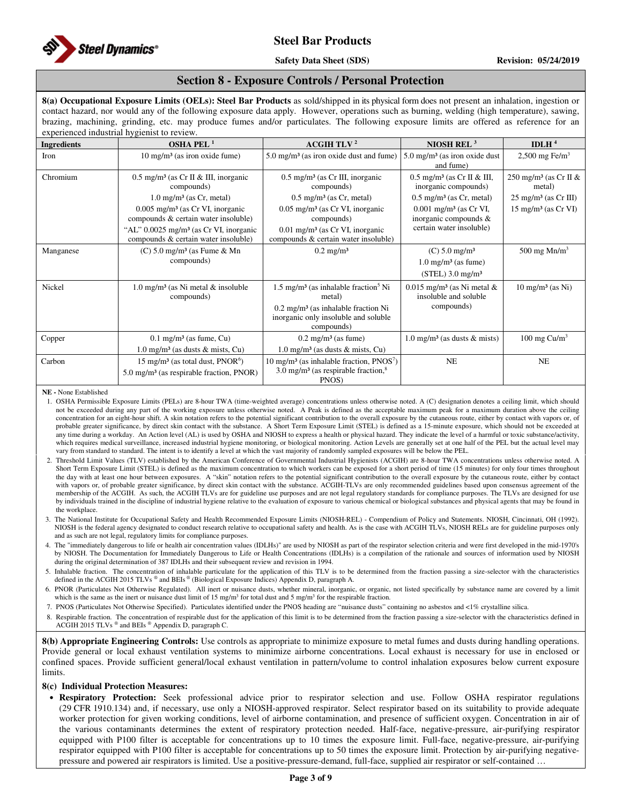

## **Section 8 - Exposure Controls / Personal Protection**

**8(a) Occupational Exposure Limits (OELs): Steel Bar Products** as sold/shipped in its physical form does not present an inhalation, ingestion or contact hazard, nor would any of the following exposure data apply. However, operations such as burning, welding (high temperature), sawing, brazing, machining, grinding, etc. may produce fumes and/or particulates. The following exposure limits are offered as reference for an experienced industrial hygienist to review.

| <b>Ingredients</b> | OSHA PEL <sup>1</sup>                                                                        | <b>ACGIH TLV<sup>2</sup></b>                                                                         | NIOSH REL $3$                                                     | IDLH $4$                                    |
|--------------------|----------------------------------------------------------------------------------------------|------------------------------------------------------------------------------------------------------|-------------------------------------------------------------------|---------------------------------------------|
| Iron               | $10 \text{ mg/m}^3$ (as iron oxide fume)                                                     | $5.0 \text{ mg/m}^3$ (as iron oxide dust and fume)                                                   | $5.0 \text{ mg/m}^3$ (as iron oxide dust<br>and fume)             | 2,500 mg Fe/m <sup>3</sup>                  |
| Chromium           | $0.5$ mg/m <sup>3</sup> (as Cr II & III, inorganic<br>compounds)                             | $0.5 \text{ mg/m}^3$ (as Cr III, inorganic<br>compounds)                                             | $0.5$ mg/m <sup>3</sup> (as Cr II & III,<br>inorganic compounds)  | 250 mg/m <sup>3</sup> (as Cr II &<br>metal) |
|                    | $1.0$ mg/m <sup>3</sup> (as Cr, metal)                                                       | $0.5 \text{ mg/m}^3$ (as Cr, metal)                                                                  | $0.5 \text{ mg/m}^3$ (as Cr, metal)                               | $25 \text{ mg/m}^3$ (as Cr III)             |
|                    | $0.005$ mg/m <sup>3</sup> (as Cr VI, inorganic<br>compounds & certain water insoluble)       | $0.05$ mg/m <sup>3</sup> (as Cr VI, inorganic<br>compounds)                                          | $0.001$ mg/m <sup>3</sup> (as Cr VI,<br>inorganic compounds &     | $15 \text{ mg/m}^3$ (as Cr VI)              |
|                    | "AL" $0.0025$ mg/m <sup>3</sup> (as Cr VI, inorganic<br>compounds & certain water insoluble) | 0.01 mg/m <sup>3</sup> (as Cr VI, inorganic<br>compounds & certain water insoluble)                  | certain water insoluble)                                          |                                             |
| Manganese          | $(C)$ 5.0 mg/m <sup>3</sup> (as Fume & Mn                                                    | $0.2 \text{ mg/m}^3$                                                                                 | $(C) 5.0$ mg/m <sup>3</sup>                                       | 500 mg $Mn/m3$                              |
|                    | compounds)                                                                                   |                                                                                                      | $1.0 \text{ mg/m}^3$ (as fume)                                    |                                             |
|                    |                                                                                              |                                                                                                      | $(STEL)$ 3.0 mg/m <sup>3</sup>                                    |                                             |
| Nickel             | $1.0 \text{ mg/m}^3$ (as Ni metal & insoluble<br>compounds)                                  | $1.5 \text{ mg/m}^3$ (as inhalable fraction <sup>5</sup> Ni<br>metal)                                | $0.015$ mg/m <sup>3</sup> (as Ni metal &<br>insoluble and soluble | $10 \text{ mg/m}^3$ (as Ni)                 |
|                    |                                                                                              | $0.2 \text{ mg/m}^3$ (as inhalable fraction Ni<br>inorganic only insoluble and soluble<br>compounds) | compounds)                                                        |                                             |
| Copper             | $0.1 \text{ mg/m}^3$ (as fume, Cu)                                                           | $0.2 \text{ mg/m}^3$ (as fume)                                                                       | 1.0 mg/m <sup>3</sup> (as dusts $\&$ mists)                       | 100 mg $Cu/m3$                              |
|                    | $1.0 \text{ mg/m}^3$ (as dusts & mists, Cu)                                                  | $1.0$ mg/m <sup>3</sup> (as dusts & mists, Cu)                                                       |                                                                   |                                             |
| Carbon             | 15 mg/m <sup>3</sup> (as total dust, $PNOR6$ )                                               | $10 \text{ mg/m}^3$ (as inhalable fraction, PNOS <sup>7</sup> )                                      | <b>NE</b>                                                         | NE                                          |
|                    | $5.0 \text{ mg/m}^3$ (as respirable fraction, PNOR)                                          | 3.0 mg/m <sup>3</sup> (as respirable fraction, $8$ )<br>PNOS)                                        |                                                                   |                                             |

#### **NE -** None Established

1. OSHA Permissible Exposure Limits (PELs) are 8-hour TWA (time-weighted average) concentrations unless otherwise noted. A (C) designation denotes a ceiling limit, which should not be exceeded during any part of the working exposure unless otherwise noted. A Peak is defined as the acceptable maximum peak for a maximum duration above the ceiling concentration for an eight-hour shift. A skin notation refers to the potential significant contribution to the overall exposure by the cutaneous route, either by contact with vapors or, of probable greater significance, by direct skin contact with the substance. A Short Term Exposure Limit (STEL) is defined as a 15-minute exposure, which should not be exceeded at any time during a workday. An Action level (AL) is used by OSHA and NIOSH to express a health or physical hazard. They indicate the level of a harmful or toxic substance/activity, which requires medical surveillance, increased industrial hygiene monitoring, or biological monitoring. Action Levels are generally set at one half of the PEL but the actual level may vary from standard to standard. The intent is to identify a level at which the vast majority of randomly sampled exposures will be below the PEL.

- 2. Threshold Limit Values (TLV) established by the American Conference of Governmental Industrial Hygienists (ACGIH) are 8-hour TWA concentrations unless otherwise noted. A Short Term Exposure Limit (STEL) is defined as the maximum concentration to which workers can be exposed for a short period of time (15 minutes) for only four times throughout the day with at least one hour between exposures. A "skin" notation refers to the potential significant contribution to the overall exposure by the cutaneous route, either by contact with vapors or, of probable greater significance, by direct skin contact with the substance. ACGIH-TLVs are only recommended guidelines based upon consensus agreement of the membership of the ACGIH. As such, the ACGIH TLVs are for guideline use purposes and are not legal regulatory standards for compliance purposes. The TLVs are designed for use by individuals trained in the discipline of industrial hygiene relative to the evaluation of exposure to various chemical or biological substances and physical agents that may be found in the workplace.
- 3. The National Institute for Occupational Safety and Health Recommended Exposure Limits (NIOSH-REL) Compendium of Policy and Statements. NIOSH, Cincinnati, OH (1992). NIOSH is the federal agency designated to conduct research relative to occupational safety and health. As is the case with ACGIH TLVs, NIOSH RELs are for guideline purposes only and as such are not legal, regulatory limits for compliance purposes.
- 4. The "immediately dangerous to life or health air concentration values (IDLHs)" are used by NIOSH as part of the respirator selection criteria and were first developed in the mid-1970's by NIOSH. The Documentation for Immediately Dangerous to Life or Health Concentrations (IDLHs) is a compilation of the rationale and sources of information used by NIOSH during the original determination of 387 IDLHs and their subsequent review and revision in 1994.
- 5. Inhalable fraction. The concentration of inhalable particulate for the application of this TLV is to be determined from the fraction passing a size-selector with the characteristics defined in the ACGIH 2015 TLVs ® and BEIs ® (Biological Exposure Indices) Appendix D, paragraph A.
- 6. PNOR (Particulates Not Otherwise Regulated). All inert or nuisance dusts, whether mineral, inorganic, or organic, not listed specifically by substance name are covered by a limit which is the same as the inert or nuisance dust limit of 15 mg/m<sup>3</sup> for total dust and 5 mg/m<sup>3</sup> for the respirable fraction.
- 7. PNOS (Particulates Not Otherwise Specified). Particulates identified under the PNOS heading are "nuisance dusts" containing no asbestos and <1% crystalline silica.
- Respirable fraction. The concentration of respirable dust for the application of this limit is to be determined from the fraction passing a size-selector with the characteristics defined in ACGIH 2015 TLVs ® and BEIs ® Appendix D, paragraph C.

**8(b) Appropriate Engineering Controls:** Use controls as appropriate to minimize exposure to metal fumes and dusts during handling operations. Provide general or local exhaust ventilation systems to minimize airborne concentrations. Local exhaust is necessary for use in enclosed or confined spaces. Provide sufficient general/local exhaust ventilation in pattern/volume to control inhalation exposures below current exposure limits.

#### **8(c) Individual Protection Measures:**

• **Respiratory Protection:** Seek professional advice prior to respirator selection and use. Follow OSHA respirator regulations (29 CFR 1910.134) and, if necessary, use only a NIOSH-approved respirator. Select respirator based on its suitability to provide adequate worker protection for given working conditions, level of airborne contamination, and presence of sufficient oxygen. Concentration in air of the various contaminants determines the extent of respiratory protection needed. Half-face, negative-pressure, air-purifying respirator equipped with P100 filter is acceptable for concentrations up to 10 times the exposure limit. Full-face, negative-pressure, air-purifying respirator equipped with P100 filter is acceptable for concentrations up to 50 times the exposure limit. Protection by air-purifying negativepressure and powered air respirators is limited. Use a positive-pressure-demand, full-face, supplied air respirator or self-contained …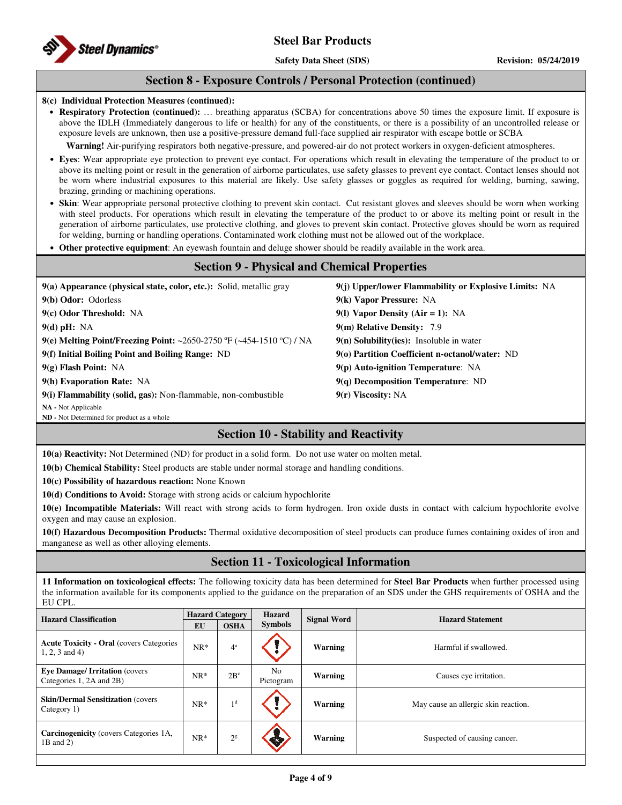## **Section 8 - Exposure Controls / Personal Protection (continued)**

#### **8(c) Individual Protection Measures (continued):**

• **Respiratory Protection (continued):** … breathing apparatus (SCBA) for concentrations above 50 times the exposure limit. If exposure is above the IDLH (Immediately dangerous to life or health) for any of the constituents, or there is a possibility of an uncontrolled release or exposure levels are unknown, then use a positive-pressure demand full-face supplied air respirator with escape bottle or SCBA

**Warning!** Air-purifying respirators both negative-pressure, and powered-air do not protect workers in oxygen-deficient atmospheres.

- **Eyes**: Wear appropriate eye protection to prevent eye contact. For operations which result in elevating the temperature of the product to or above its melting point or result in the generation of airborne particulates, use safety glasses to prevent eye contact. Contact lenses should not be worn where industrial exposures to this material are likely. Use safety glasses or goggles as required for welding, burning, sawing, brazing, grinding or machining operations.
- **Skin**: Wear appropriate personal protective clothing to prevent skin contact. Cut resistant gloves and sleeves should be worn when working with steel products. For operations which result in elevating the temperature of the product to or above its melting point or result in the generation of airborne particulates, use protective clothing, and gloves to prevent skin contact. Protective gloves should be worn as required for welding, burning or handling operations. Contaminated work clothing must not be allowed out of the workplace.
- **Other protective equipment**: An eyewash fountain and deluge shower should be readily available in the work area.

| <b>Section 9 - Physical and Chemical Properties</b>                  |                                                       |  |  |  |  |
|----------------------------------------------------------------------|-------------------------------------------------------|--|--|--|--|
| 9(a) Appearance (physical state, color, etc.): Solid, metallic gray  | 9(j) Upper/lower Flammability or Explosive Limits: NA |  |  |  |  |
| 9(b) Odor: Odorless                                                  | 9(k) Vapor Pressure: NA                               |  |  |  |  |
| $9(c)$ Odor Threshold: NA                                            | 9(1) Vapor Density (Air = 1): NA                      |  |  |  |  |
| $9(d)$ pH: NA                                                        | 9(m) Relative Density: 7.9                            |  |  |  |  |
| 9(e) Melting Point/Freezing Point: ~2650-2750 °F (~454-1510 °C) / NA | $9(n)$ Solubility(ies): Insoluble in water            |  |  |  |  |
| 9(f) Initial Boiling Point and Boiling Range: ND                     | 9(o) Partition Coefficient n-octanol/water: ND        |  |  |  |  |
| $9(g)$ Flash Point: NA                                               | $9(p)$ Auto-ignition Temperature: NA                  |  |  |  |  |
| 9(h) Evaporation Rate: NA                                            | $9(q)$ Decomposition Temperature: ND                  |  |  |  |  |
| 9(i) Flammability (solid, gas): Non-flammable, non-combustible       | $9(r)$ Viscosity: NA                                  |  |  |  |  |

**NA -** Not Applicable

**ND -** Not Determined for product as a whole

# **Section 10 - Stability and Reactivity**

**10(a) Reactivity:** Not Determined (ND) for product in a solid form. Do not use water on molten metal.

**10(b) Chemical Stability:** Steel products are stable under normal storage and handling conditions.

**10(c) Possibility of hazardous reaction:** None Known

**10(d) Conditions to Avoid:** Storage with strong acids or calcium hypochlorite

**10(e) Incompatible Materials:** Will react with strong acids to form hydrogen. Iron oxide dusts in contact with calcium hypochlorite evolve oxygen and may cause an explosion.

**10(f) Hazardous Decomposition Products:** Thermal oxidative decomposition of steel products can produce fumes containing oxides of iron and manganese as well as other alloying elements.

# **Section 11 - Toxicological Information**

**11 Information on toxicological effects:** The following toxicity data has been determined for **Steel Bar Products** when further processed using the information available for its components applied to the guidance on the preparation of an SDS under the GHS requirements of OSHA and the EU CPL.

| <b>Hazard Classification</b>                                         | <b>Hazard Category</b> |                 | <b>Hazard</b>   | <b>Signal Word</b> | <b>Hazard Statement</b>              |  |
|----------------------------------------------------------------------|------------------------|-----------------|-----------------|--------------------|--------------------------------------|--|
|                                                                      | EU                     | <b>OSHA</b>     | <b>Symbols</b>  |                    |                                      |  |
| <b>Acute Toxicity - Oral (covers Categories)</b><br>$1, 2, 3$ and 4) | $NR*$                  | $4^a$           |                 | <b>Warning</b>     | Harmful if swallowed.                |  |
| <b>Eye Damage/Irritation (covers)</b><br>Categories 1, 2A and 2B)    | $NR^*$                 | 2B <sup>c</sup> | No<br>Pictogram | Warning            | Causes eye irritation.               |  |
| <b>Skin/Dermal Sensitization (covers)</b><br>Category 1)             | $NR*$                  | 1 <sup>d</sup>  |                 | <b>Warning</b>     | May cause an allergic skin reaction. |  |
| <b>Carcinogenicity</b> (covers Categories 1A,<br>1B and 2)           | $NR^*$                 | 2 <sup>g</sup>  | GX)             | Warning            | Suspected of causing cancer.         |  |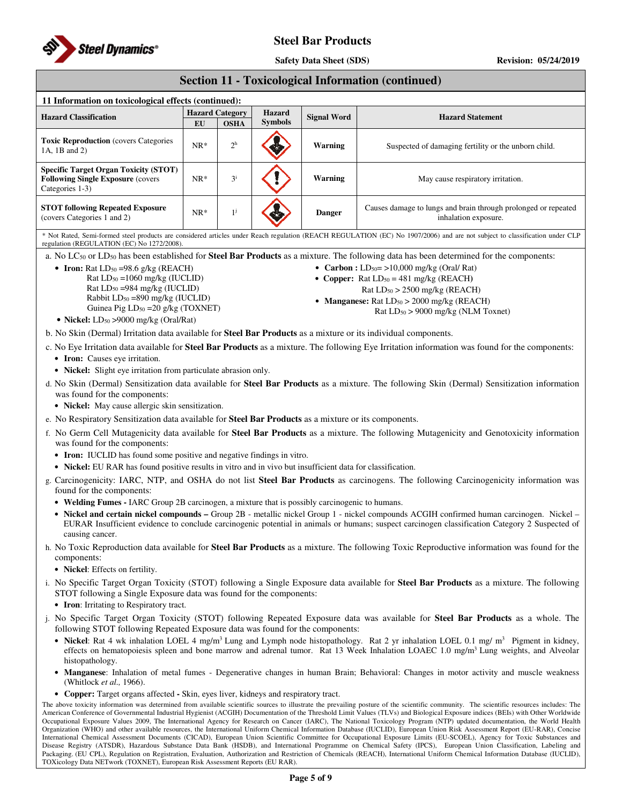

**Safety Data Sheet (SDS)** Revision: 05/24/2019

## **Section 11 - Toxicological Information (continued)**

| 11 Information on toxicological effects (continued):                                                         |                        |             |                |                    |                                                                                        |  |
|--------------------------------------------------------------------------------------------------------------|------------------------|-------------|----------------|--------------------|----------------------------------------------------------------------------------------|--|
| <b>Hazard Classification</b>                                                                                 | <b>Hazard Category</b> |             | <b>Hazard</b>  | <b>Signal Word</b> | <b>Hazard Statement</b>                                                                |  |
|                                                                                                              | EU                     | <b>OSHA</b> | <b>Symbols</b> |                    |                                                                                        |  |
| <b>Toxic Reproduction</b> (covers Categories)<br>1A. 1B and 2)                                               | $NR*$                  | $2^h$       |                | Warning            | Suspected of damaging fertility or the unborn child.                                   |  |
| <b>Specific Target Organ Toxicity (STOT)</b><br><b>Following Single Exposure (covers)</b><br>Categories 1-3) | $NR*$                  | $3^{i}$     |                | Warning            | May cause respiratory irritation.                                                      |  |
| <b>STOT following Repeated Exposure</b><br>(covers Categories 1 and 2)                                       | $NR*$                  |             |                | <b>Danger</b>      | Causes damage to lungs and brain through prolonged or repeated<br>inhalation exposure. |  |

\* Not Rated, Semi-formed steel products are considered articles under Reach regulation (REACH REGULATION (EC) No 1907/2006) and are not subject to classification under CLP regulation (REGULATION (EC) No 1272/2008).

a. No LC<sup>50</sup> or LD<sup>50</sup> has been established for **Steel Bar Products** as a mixture. The following data has been determined for the components:

• **Iron:** Rat  $LD_{50} = 98.6$  g/kg (REACH) Rat LD50 =1060 mg/kg (IUCLID) Rat LD50 =984 mg/kg (IUCLID) Rabbit LD50 =890 mg/kg (IUCLID) Guinea Pig  $LD_{50} = 20$  g/kg (TOXNET)

- **Carbon :** LD<sub>50</sub> = >10,000 mg/kg (Oral/ Rat) • **Copper:** Rat LD<sub>50</sub> = 481 mg/kg (REACH)
	- $Rat LD<sub>50</sub> > 2500$  mg/kg (REACH)
- **Manganese:** Rat LD<sub>50</sub> > 2000 mg/kg (REACH)
- Rat LD50 > 9000 mg/kg (NLM Toxnet)

• **Nickel:** LD<sub>50</sub> > 9000 mg/kg (Oral/Rat)

b. No Skin (Dermal) Irritation data available for **Steel Bar Products** as a mixture or its individual components.

c. No Eye Irritation data available for **Steel Bar Products** as a mixture. The following Eye Irritation information was found for the components:

- **Iron:** Causes eye irritation.
- **Nickel:** Slight eye irritation from particulate abrasion only.
- d. No Skin (Dermal) Sensitization data available for **Steel Bar Products** as a mixture. The following Skin (Dermal) Sensitization information was found for the components:
	- **Nickel:** May cause allergic skin sensitization.
- e. No Respiratory Sensitization data available for **Steel Bar Products** as a mixture or its components.
- f. No Germ Cell Mutagenicity data available for **Steel Bar Products** as a mixture. The following Mutagenicity and Genotoxicity information was found for the components:
	- **Iron:** IUCLID has found some positive and negative findings in vitro.
	- **Nickel:** EU RAR has found positive results in vitro and in vivo but insufficient data for classification.
- g. Carcinogenicity: IARC, NTP, and OSHA do not list **Steel Bar Products** as carcinogens. The following Carcinogenicity information was found for the components:
	- **Welding Fumes -** IARC Group 2B carcinogen, a mixture that is possibly carcinogenic to humans.
	- **Nickel and certain nickel compounds** Group 2B metallic nickel Group 1 nickel compounds ACGIH confirmed human carcinogen. Nickel EURAR Insufficient evidence to conclude carcinogenic potential in animals or humans; suspect carcinogen classification Category 2 Suspected of causing cancer.
- h. No Toxic Reproduction data available for **Steel Bar Products** as a mixture. The following Toxic Reproductive information was found for the components:
	- **Nickel**: Effects on fertility.
- i. No Specific Target Organ Toxicity (STOT) following a Single Exposure data available for **Steel Bar Products** as a mixture. The following STOT following a Single Exposure data was found for the components:
	- **Iron**: Irritating to Respiratory tract.
- j. No Specific Target Organ Toxicity (STOT) following Repeated Exposure data was available for **Steel Bar Products** as a whole. The following STOT following Repeated Exposure data was found for the components:
	- **Nickel**: Rat 4 wk inhalation LOEL 4 mg/m<sup>3</sup> Lung and Lymph node histopathology. Rat 2 yr inhalation LOEL 0.1 mg/ m<sup>3</sup> Pigment in kidney, effects on hematopoiesis spleen and bone marrow and adrenal tumor. Rat 13 Week Inhalation LOAEC 1.0 mg/m<sup>3</sup> Lung weights, and Alveolar histopathology.
	- **Manganese**: Inhalation of metal fumes Degenerative changes in human Brain; Behavioral: Changes in motor activity and muscle weakness (Whitlock *et al.,* 1966).
	- **Copper:** Target organs affected **-** Skin, eyes liver, kidneys and respiratory tract.

The above toxicity information was determined from available scientific sources to illustrate the prevailing posture of the scientific community. The scientific resources includes: The American Conference of Governmental Industrial Hygienist (ACGIH) Documentation of the Threshold Limit Values (TLVs) and Biological Exposure indices (BEIs) with Other Worldwide Occupational Exposure Values 2009, The International Agency for Research on Cancer (IARC), The National Toxicology Program (NTP) updated documentation, the World Health Organization (WHO) and other available resources, the International Uniform Chemical Information Database (IUCLID), European Union Risk Assessment Report (EU-RAR), Concise International Chemical Assessment Documents (CICAD), European Union Scientific Committee for Occupational Exposure Limits (EU-SCOEL), Agency for Toxic Substances and Disease Registry (ATSDR), Hazardous Substance Data Bank (HSDB), and International Programme on Chemical Safety (IPCS), European Union Classification, Labeling and Packaging. (EU CPL), Regulation on Registration, Evaluation, Authorization and Restriction of Chemicals (REACH), International Uniform Chemical Information Database (IUCLID), TOXicology Data NETwork (TOXNET), European Risk Assessment Reports (EU RAR).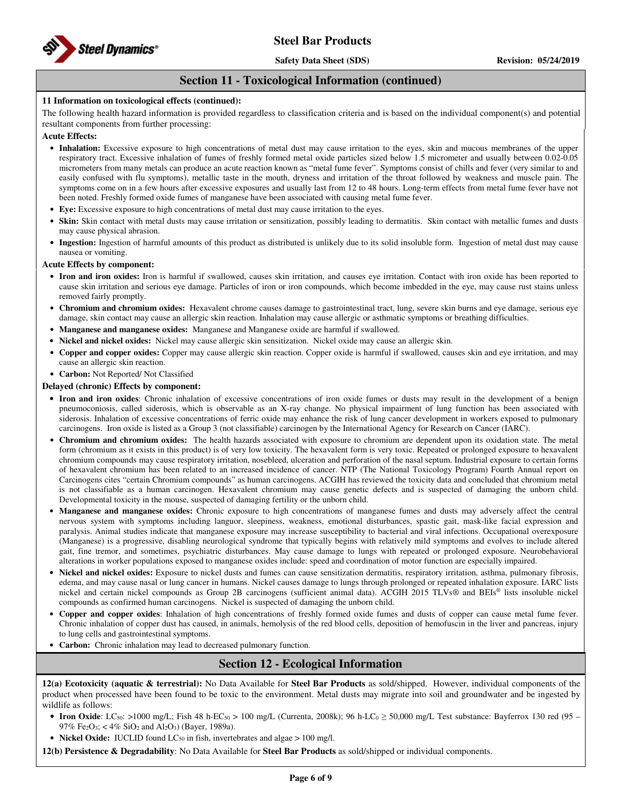

## **Section 11 - Toxicological Information (continued)**

### **11 Information on toxicological effects (continued):**

The following health hazard information is provided regardless to classification criteria and is based on the individual component(s) and potential resultant components from further processing:

#### **Acute Effects:**

- **Inhalation:** Excessive exposure to high concentrations of metal dust may cause irritation to the eyes, skin and mucous membranes of the upper respiratory tract. Excessive inhalation of fumes of freshly formed metal oxide particles sized below 1.5 micrometer and usually between 0.02-0.05 micrometers from many metals can produce an acute reaction known as "metal fume fever". Symptoms consist of chills and fever (very similar to and easily confused with flu symptoms), metallic taste in the mouth, dryness and irritation of the throat followed by weakness and muscle pain. The symptoms come on in a few hours after excessive exposures and usually last from 12 to 48 hours. Long-term effects from metal fume fever have not been noted. Freshly formed oxide fumes of manganese have been associated with causing metal fume fever.
- **Eye:** Excessive exposure to high concentrations of metal dust may cause irritation to the eyes.
- **Skin:** Skin contact with metal dusts may cause irritation or sensitization, possibly leading to dermatitis. Skin contact with metallic fumes and dusts may cause physical abrasion.
- **Ingestion:** Ingestion of harmful amounts of this product as distributed is unlikely due to its solid insoluble form. Ingestion of metal dust may cause nausea or vomiting.

#### **Acute Effects by component:**

- **Iron and iron oxides:** Iron is harmful if swallowed, causes skin irritation, and causes eye irritation. Contact with iron oxide has been reported to cause skin irritation and serious eye damage. Particles of iron or iron compounds, which become imbedded in the eye, may cause rust stains unless removed fairly promptly.
- **Chromium and chromium oxides:** Hexavalent chrome causes damage to gastrointestinal tract, lung, severe skin burns and eye damage, serious eye damage, skin contact may cause an allergic skin reaction. Inhalation may cause allergic or asthmatic symptoms or breathing difficulties.
- **Manganese and manganese oxides:** Manganese and Manganese oxide are harmful if swallowed.
- **Nickel and nickel oxides:** Nickel may cause allergic skin sensitization. Nickel oxide may cause an allergic skin.
- **Copper and copper oxides:** Copper may cause allergic skin reaction. Copper oxide is harmful if swallowed, causes skin and eye irritation, and may cause an allergic skin reaction.
- **Carbon:** Not Reported/ Not Classified

### **Delayed (chronic) Effects by component:**

- **Iron and iron oxides**: Chronic inhalation of excessive concentrations of iron oxide fumes or dusts may result in the development of a benign pneumoconiosis, called siderosis, which is observable as an X-ray change. No physical impairment of lung function has been associated with siderosis. Inhalation of excessive concentrations of ferric oxide may enhance the risk of lung cancer development in workers exposed to pulmonary carcinogens. Iron oxide is listed as a Group 3 (not classifiable) carcinogen by the International Agency for Research on Cancer (IARC).
- **Chromium and chromium oxides:** The health hazards associated with exposure to chromium are dependent upon its oxidation state. The metal form (chromium as it exists in this product) is of very low toxicity. The hexavalent form is very toxic. Repeated or prolonged exposure to hexavalent chromium compounds may cause respiratory irritation, nosebleed, ulceration and perforation of the nasal septum. Industrial exposure to certain forms of hexavalent chromium has been related to an increased incidence of cancer. NTP (The National Toxicology Program) Fourth Annual report on Carcinogens cites "certain Chromium compounds" as human carcinogens. ACGIH has reviewed the toxicity data and concluded that chromium metal is not classifiable as a human carcinogen. Hexavalent chromium may cause genetic defects and is suspected of damaging the unborn child. Developmental toxicity in the mouse, suspected of damaging fertility or the unborn child.
- **Manganese and manganese oxides:** Chronic exposure to high concentrations of manganese fumes and dusts may adversely affect the central nervous system with symptoms including languor, sleepiness, weakness, emotional disturbances, spastic gait, mask-like facial expression and paralysis. Animal studies indicate that manganese exposure may increase susceptibility to bacterial and viral infections. Occupational overexposure (Manganese) is a progressive, disabling neurological syndrome that typically begins with relatively mild symptoms and evolves to include altered gait, fine tremor, and sometimes, psychiatric disturbances. May cause damage to lungs with repeated or prolonged exposure. Neurobehavioral alterations in worker populations exposed to manganese oxides include: speed and coordination of motor function are especially impaired.
- **Nickel and nickel oxides:** Exposure to nickel dusts and fumes can cause sensitization dermatitis, respiratory irritation, asthma, pulmonary fibrosis, edema, and may cause nasal or lung cancer in humans. Nickel causes damage to lungs through prolonged or repeated inhalation exposure. IARC lists nickel and certain nickel compounds as Group 2B carcinogens (sufficient animal data). ACGIH 2015 TLVs® and BEIs® lists insoluble nickel compounds as confirmed human carcinogens. Nickel is suspected of damaging the unborn child.
- **Copper and copper oxides**: Inhalation of high concentrations of freshly formed oxide fumes and dusts of copper can cause metal fume fever. Chronic inhalation of copper dust has caused, in animals, hemolysis of the red blood cells, deposition of hemofuscin in the liver and pancreas, injury to lung cells and gastrointestinal symptoms.
- **Carbon:** Chronic inhalation may lead to decreased pulmonary function.

# **Section 12 - Ecological Information**

**12(a) Ecotoxicity (aquatic & terrestrial):** No Data Available for **Steel Bar Products** as sold/shipped. However, individual components of the product when processed have been found to be toxic to the environment. Metal dusts may migrate into soil and groundwater and be ingested by wildlife as follows:

- **Iron Oxide**: LC<sub>50</sub>: >1000 mg/L; Fish 48 h-EC<sub>50</sub> > 100 mg/L (Currenta, 2008k); 96 h-LC<sub>0</sub>  $\geq$  50,000 mg/L Test substance: Bayferrox 130 red (95 97% Fe2O3; < 4% SiO2 and Al2O3) (Bayer, 1989a).
- **Nickel Oxide:** IUCLID found LC<sub>50</sub> in fish, invertebrates and algae > 100 mg/l.

**12(b) Persistence & Degradability**: No Data Available for **Steel Bar Products** as sold/shipped or individual components.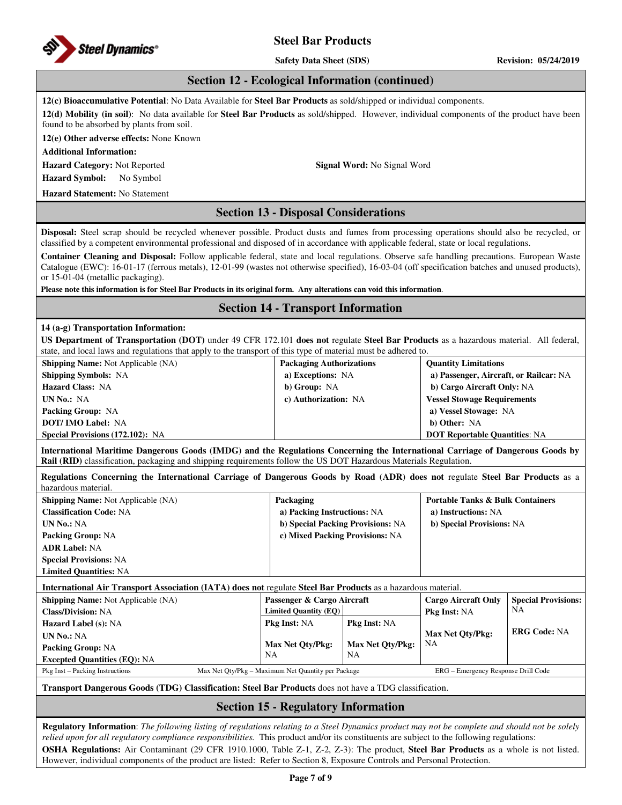

**Safety Data Sheet (SDS)** Revision: 05/24/2019

## **Section 12 - Ecological Information (continued)**

**12(c) Bioaccumulative Potential**: No Data Available for **Steel Bar Products** as sold/shipped or individual components.

**12(d) Mobility (in soil)**: No data available for **Steel Bar Products** as sold/shipped. However, individual components of the product have been found to be absorbed by plants from soil.

**12(e) Other adverse effects:** None Known

**Additional Information:** 

**Hazard Category:** Not Reported **Signal Word:** No Signal Word **Hazard Symbol:** No Symbol

**Hazard Statement:** No Statement

# **Section 13 - Disposal Considerations**

**Disposal:** Steel scrap should be recycled whenever possible. Product dusts and fumes from processing operations should also be recycled, or classified by a competent environmental professional and disposed of in accordance with applicable federal, state or local regulations.

**Container Cleaning and Disposal:** Follow applicable federal, state and local regulations. Observe safe handling precautions. European Waste Catalogue (EWC): 16-01-17 (ferrous metals), 12-01-99 (wastes not otherwise specified), 16-03-04 (off specification batches and unused products), or 15-01-04 (metallic packaging).

**Please note this information is for Steel Bar Products in its original form. Any alterations can void this information**.

## **Section 14 - Transport Information**

## **14 (a-g) Transportation Information:**

**UN No.:** NA **Packing Group:** NA

**US Department of Transportation (DOT)** under 49 CFR 172.101 **does not** regulate **Steel Bar Products** as a hazardous material. All federal, state, and local laws and regulations that apply to the transport of this type of material must be adhered to.

| <b>Shipping Name:</b> Not Applicable (NA) | <b>Packaging Authorizations</b> | <b>Quantity Limitations</b>            |
|-------------------------------------------|---------------------------------|----------------------------------------|
| <b>Shipping Symbols: NA</b>               | a) Exceptions: NA               | a) Passenger, Aircraft, or Railcar: NA |
| <b>Hazard Class: NA</b>                   | b) Group: NA                    | b) Cargo Aircraft Only: NA             |
| UN No.: NA                                | c) Authorization: NA            | <b>Vessel Stowage Requirements</b>     |
| <b>Packing Group: NA</b>                  |                                 | a) Vessel Stowage: NA                  |
| <b>DOT/IMO Label: NA</b>                  |                                 | b) Other: NA                           |
| <b>Special Provisions (172.102): NA</b>   |                                 | <b>DOT Reportable Quantities: NA</b>   |

**International Maritime Dangerous Goods (IMDG) and the Regulations Concerning the International Carriage of Dangerous Goods by Rail (RID)** classification, packaging and shipping requirements follow the US DOT Hazardous Materials Regulation.

**Regulations Concerning the International Carriage of Dangerous Goods by Road (ADR) does not** regulate **Steel Bar Products** as a hazardous material.

| <b>Shipping Name:</b> Not Applicable (NA)                                                                           | Packaging                    |                                   |                            | <b>Portable Tanks &amp; Bulk Containers</b> |  |
|---------------------------------------------------------------------------------------------------------------------|------------------------------|-----------------------------------|----------------------------|---------------------------------------------|--|
| <b>Classification Code: NA</b>                                                                                      |                              | a) Packing Instructions: NA       |                            | a) Instructions: NA                         |  |
| <b>UN No.: NA</b>                                                                                                   |                              | b) Special Packing Provisions: NA | b) Special Provisions: NA  |                                             |  |
| <b>Packing Group: NA</b>                                                                                            |                              | c) Mixed Packing Provisions: NA   |                            |                                             |  |
| <b>ADR Label: NA</b>                                                                                                |                              |                                   |                            |                                             |  |
| <b>Special Provisions: NA</b>                                                                                       |                              |                                   |                            |                                             |  |
| <b>Limited Quantities: NA</b>                                                                                       |                              |                                   |                            |                                             |  |
| <b>International Air Transport Association (IATA) does not regulate Steel Bar Products as a hazardous material.</b> |                              |                                   |                            |                                             |  |
| <b>Shipping Name:</b> Not Applicable (NA)                                                                           | Passenger & Cargo Aircraft   |                                   | <b>Cargo Aircraft Only</b> | <b>Special Provisions:</b>                  |  |
| <b>Class/Division: NA</b>                                                                                           | <b>Limited Quantity (EQ)</b> |                                   | <b>Pkg Inst: NA</b>        | NΑ                                          |  |
| <b>Hazard Label (s): NA</b>                                                                                         | <b>Pkg Inst: NA</b>          | <b>Pkg Inst: NA</b>               |                            |                                             |  |
| <b>TTTTTTT</b>                                                                                                      |                              |                                   | Mov Not Oty/Dkg            | <b>ERG Code: NA</b>                         |  |

**Excepted Quantities (EQ):** NA NA NA Pkg Inst – Packing Instructions Max Net Qty/Pkg – Maximum Net Quantity per Package ERG – Emergency Response Drill Code

**Max Net Qty/Pkg:** 

**Max Net Qty/Pkg:**

NA

**Max Net Qty/Pkg:**

**Transport Dangerous Goods (TDG) Classification: Steel Bar Products** does not have a TDG classification.

## **Section 15 - Regulatory Information**

**Regulatory Information**: *The following listing of regulations relating to a Steel Dynamics product may not be complete and should not be solely relied upon for all regulatory compliance responsibilities.* This product and/or its constituents are subject to the following regulations: **OSHA Regulations:** Air Contaminant (29 CFR 1910.1000, Table Z-1, Z-2, Z-3): The product, **Steel Bar Products** as a whole is not listed. However, individual components of the product are listed: Refer to Section 8, Exposure Controls and Personal Protection.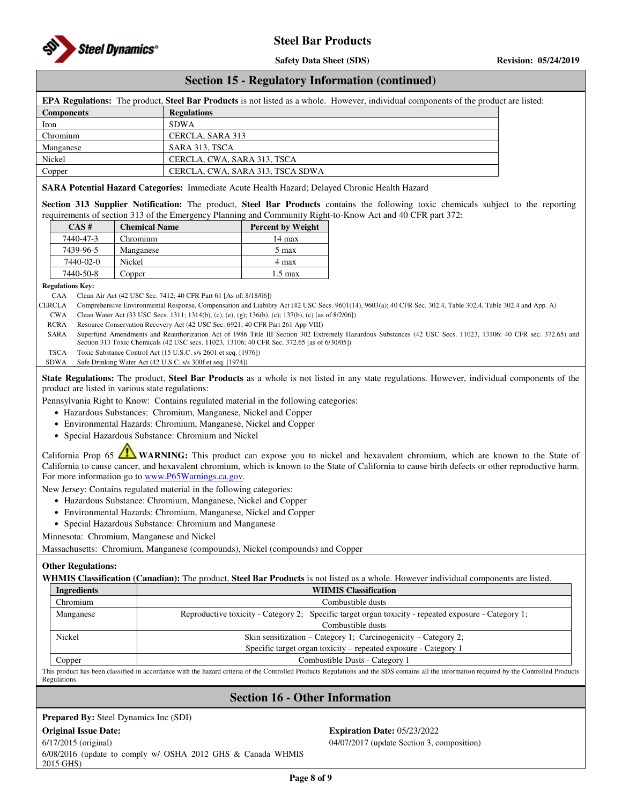

## **Section 15 - Regulatory Information (continued)**

| <b>EPA Regulations:</b> The product, <b>Steel Bar Products</b> is not listed as a whole. However, individual components of the product are listed: |                                  |  |  |  |  |
|----------------------------------------------------------------------------------------------------------------------------------------------------|----------------------------------|--|--|--|--|
| <b>Components</b>                                                                                                                                  | <b>Regulations</b>               |  |  |  |  |
| Iron                                                                                                                                               | <b>SDWA</b>                      |  |  |  |  |
| Chromium                                                                                                                                           | CERCLA, SARA 313                 |  |  |  |  |
| Manganese                                                                                                                                          | SARA 313, TSCA                   |  |  |  |  |
| Nickel                                                                                                                                             | CERCLA, CWA, SARA 313, TSCA      |  |  |  |  |
| Copper                                                                                                                                             | CERCLA, CWA, SARA 313, TSCA SDWA |  |  |  |  |

#### **SARA Potential Hazard Categories:** Immediate Acute Health Hazard; Delayed Chronic Health Hazard

**Section 313 Supplier Notification:** The product, **Steel Bar Products** contains the following toxic chemicals subject to the reporting requirements of section 313 of the Emergency Planning and Community Right-to-Know Act and 40 CFR part 372:

| $CAS \#$  | <b>Chemical Name</b> | <b>Percent by Weight</b> |
|-----------|----------------------|--------------------------|
| 7440-47-3 | Chromium             | $14 \text{ max}$         |
| 7439-96-5 | Manganese            | 5 max                    |
| 7440-02-0 | Nickel               | 4 max                    |
| 7440-50-8 | Copper               | $1.5 \text{ max}$        |

#### **Regulations Key:**

CAA Clean Air Act (42 USC Sec. 7412; 40 CFR Part 61 [As of: 8/18/06])

CERCLA Comprehensive Environmental Response, Compensation and Liability Act (42 USC Secs. 9601(14), 9603(a); 40 CFR Sec. 302.4, Table 302.4, Table 302.4 and App. A)

CWA Clean Water Act (33 USC Secs. 1311; 1314(b), (c), (e), (g); 136(b), (c); 137(b), (c) [as of 8/2/06])

RCRA Resource Conservation Recovery Act (42 USC Sec. 6921; 40 CFR Part 261 App VIII)

SARA Superfund Amendments and Reauthorization Act of 1986 Title III Section 302 Extremely Hazardous Substances (42 USC Secs. 11023, 13106; 40 CFR sec. 372.65) and Section 313 Toxic Chemicals (42 USC secs. 11023, 13106; 40 CFR Sec. 372.65 [as of 6/30/05])

TSCA Toxic Substance Control Act (15 U.S.C. s/s 2601 et seq. [1976]) SDWA Safe Drinking Water Act (42 U.S.C. s/s 300f et seq. [1974])

**State Regulations:** The product, **Steel Bar Products** as a whole is not listed in any state regulations. However, individual components of the

product are listed in various state regulations:

Pennsylvania Right to Know: Contains regulated material in the following categories:

- Hazardous Substances: Chromium, Manganese, Nickel and Copper
- Environmental Hazards: Chromium, Manganese, Nickel and Copper
- Special Hazardous Substance: Chromium and Nickel

California Prop 65 **WARNING:** This product can expose you to nickel and hexavalent chromium, which are known to the State of California to cause cancer, and hexavalent chromium, which is known to the State of California to cause birth defects or other reproductive harm. For more information go to www.P65Warnings.ca.gov.

New Jersey: Contains regulated material in the following categories:

- Hazardous Substance: Chromium, Manganese, Nickel and Copper
- Environmental Hazards: Chromium, Manganese, Nickel and Copper
- Special Hazardous Substance: Chromium and Manganese

Minnesota: Chromium, Manganese and Nickel

Massachusetts: Chromium, Manganese (compounds), Nickel (compounds) and Copper

#### **Other Regulations:**

**WHMIS Classification (Canadian):** The product, **Steel Bar Products** is not listed as a whole. However individual components are listed.

| Ingredients | <b>WHMIS Classification</b>                                                                          |  |  |  |
|-------------|------------------------------------------------------------------------------------------------------|--|--|--|
| Chromium    | Combustible dusts                                                                                    |  |  |  |
| Manganese   | Reproductive toxicity - Category 2; Specific target organ toxicity - repeated exposure - Category 1; |  |  |  |
|             | Combustible dusts                                                                                    |  |  |  |
| Nickel      | Skin sensitization – Category 1; Carcinogenicity – Category 2;                                       |  |  |  |
|             | Specific target organ toxicity – repeated exposure - Category 1                                      |  |  |  |
| Copper      | Combustible Dusts - Category 1                                                                       |  |  |  |

This product has been classified in accordance with the hazard criteria of the Controlled Products Regulations and the SDS contains all the information required by the Controlled Products **Regulations** 

## **Section 16 - Other Information**

**Prepared By:** Steel Dynamics Inc (SDI)

6/17/2015 (original) 6/08/2016 (update to comply w/ OSHA 2012 GHS & Canada WHMIS 2015 GHS)

**Original Issue Date: Expiration Date:** 05/23/2022 04/07/2017 (update Section 3, composition)